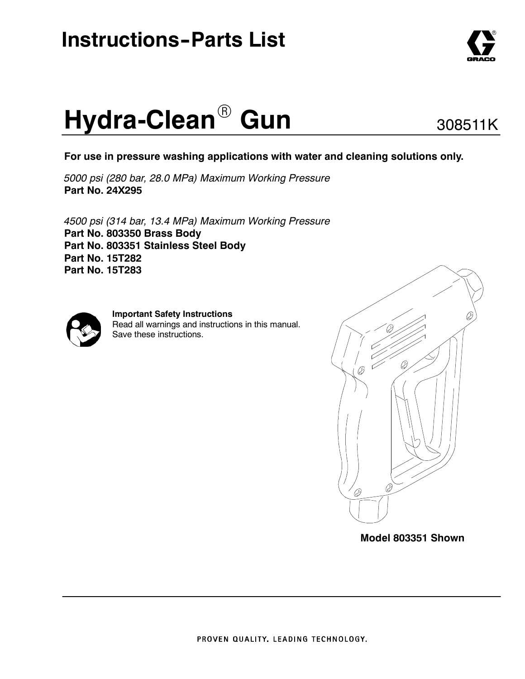# **Instructions-Parts List**

# **Hydra-Clean<sup>®</sup> Gun**

**For use in pressure washing applications with water and cleaning solutions only.**

*5000 psi (280 bar, 28.0 MPa) Maximum Working Pressure* **Part No. 24X295**

*4500 psi (314 bar, 13.4 MPa) Maximum Working Pressure* **Part No. 803350 Brass Body Part No. 803351 Stainless Steel Body Part No. 15T282 Part No. 15T283**



**Important Safety Instructions** Read all warnings and instructions in this manual. Save these instructions.



**Model 803351 Shown**



308511K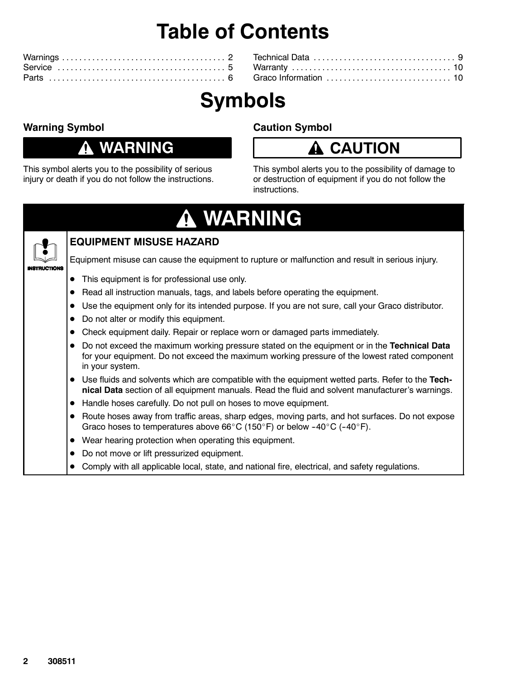# **Table of Contents**

# **Symbols**

#### **Warning Symbol**

### **WARNING**

This symbol alerts you to the possibility of serious injury or death if you do not follow the instructions.

#### **Caution Symbol**

### **CAUTION**

This symbol alerts you to the possibility of damage to or destruction of equipment if you do not follow the instructions.

# **WARNING**



#### **EQUIPMENT MISUSE HAZARD**

Equipment misuse can cause the equipment to rupture or malfunction and result in serious injury.

- This equipment is for professional use only.
- Read all instruction manuals, tags, and labels before operating the equipment.
- Use the equipment only for its intended purpose. If you are not sure, call your Graco distributor.
- Do not alter or modify this equipment.
- Check equipment daily. Repair or replace worn or damaged parts immediately.
- **•** Do not exceed the maximum working pressure stated on the equipment or in the Technical Data for your equipment. Do not exceed the maximum working pressure of the lowest rated component in your system.
- Use fluids and solvents which are compatible with the equipment wetted parts. Refer to the Tech**nical Data** section of all equipment manuals. Read the fluid and solvent manufacturer's warnings.
- Handle hoses carefully. Do not pull on hoses to move equipment.
- Route hoses away from traffic areas, sharp edges, moving parts, and hot surfaces. Do not expose Graco hoses to temperatures above 66°C (150°F) or below -40°C (-40°F).
- Wear hearing protection when operating this equipment.
- Do not move or lift pressurized equipment.
- Comply with all applicable local, state, and national fire, electrical, and safety regulations.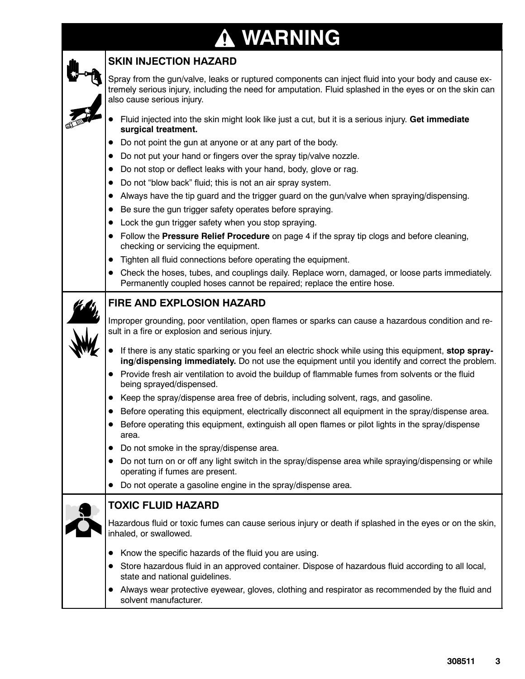# **WARNING**

|   | <u>TENNISY</u>                                                                                                                                                                                                                                 |
|---|------------------------------------------------------------------------------------------------------------------------------------------------------------------------------------------------------------------------------------------------|
|   | <b>SKIN INJECTION HAZARD</b>                                                                                                                                                                                                                   |
|   | Spray from the gun/valve, leaks or ruptured components can inject fluid into your body and cause ex-<br>tremely serious injury, including the need for amputation. Fluid splashed in the eyes or on the skin can<br>also cause serious injury. |
|   | Fluid injected into the skin might look like just a cut, but it is a serious injury. Get immediate<br>surgical treatment.                                                                                                                      |
|   | Do not point the gun at anyone or at any part of the body.                                                                                                                                                                                     |
|   | Do not put your hand or fingers over the spray tip/valve nozzle.                                                                                                                                                                               |
|   | Do not stop or deflect leaks with your hand, body, glove or rag.                                                                                                                                                                               |
|   | Do not "blow back" fluid; this is not an air spray system.<br>$\bullet$                                                                                                                                                                        |
|   | Always have the tip guard and the trigger guard on the gun/valve when spraying/dispensing.<br>$\bullet$                                                                                                                                        |
|   | Be sure the gun trigger safety operates before spraying.<br>$\bullet$                                                                                                                                                                          |
|   | Lock the gun trigger safety when you stop spraying.                                                                                                                                                                                            |
|   | Follow the Pressure Relief Procedure on page 4 if the spray tip clogs and before cleaning,<br>checking or servicing the equipment.                                                                                                             |
|   | Tighten all fluid connections before operating the equipment.<br>$\bullet$                                                                                                                                                                     |
|   | Check the hoses, tubes, and couplings daily. Replace worn, damaged, or loose parts immediately.<br>Permanently coupled hoses cannot be repaired; replace the entire hose.                                                                      |
|   | <b>FIRE AND EXPLOSION HAZARD</b>                                                                                                                                                                                                               |
|   | Improper grounding, poor ventilation, open flames or sparks can cause a hazardous condition and re-<br>sult in a fire or explosion and serious injury.                                                                                         |
|   | If there is any static sparking or you feel an electric shock while using this equipment, stop spray-<br>ing/dispensing immediately. Do not use the equipment until you identify and correct the problem.                                      |
|   | Provide fresh air ventilation to avoid the buildup of flammable fumes from solvents or the fluid<br>being sprayed/dispensed.                                                                                                                   |
|   | Keep the spray/dispense area free of debris, including solvent, rags, and gasoline.                                                                                                                                                            |
|   | Before operating this equipment, electrically disconnect all equipment in the spray/dispense area.                                                                                                                                             |
|   | Before operating this equipment, extinguish all open flames or pilot lights in the spray/dispense<br>area.                                                                                                                                     |
|   | Do not smoke in the spray/dispense area.                                                                                                                                                                                                       |
|   | Do not turn on or off any light switch in the spray/dispense area while spraying/dispensing or while<br>operating if fumes are present.                                                                                                        |
|   | Do not operate a gasoline engine in the spray/dispense area.                                                                                                                                                                                   |
|   | <b>TOXIC FLUID HAZARD</b>                                                                                                                                                                                                                      |
| A | Hazardous fluid or toxic fumes can cause serious injury or death if splashed in the eyes or on the skin,<br>inhaled, or swallowed.                                                                                                             |
|   | Know the specific hazards of the fluid you are using.                                                                                                                                                                                          |
|   | Store hazardous fluid in an approved container. Dispose of hazardous fluid according to all local,<br>state and national guidelines.                                                                                                           |
|   | Always wear protective eyewear, gloves, clothing and respirator as recommended by the fluid and                                                                                                                                                |

solvent manufacturer.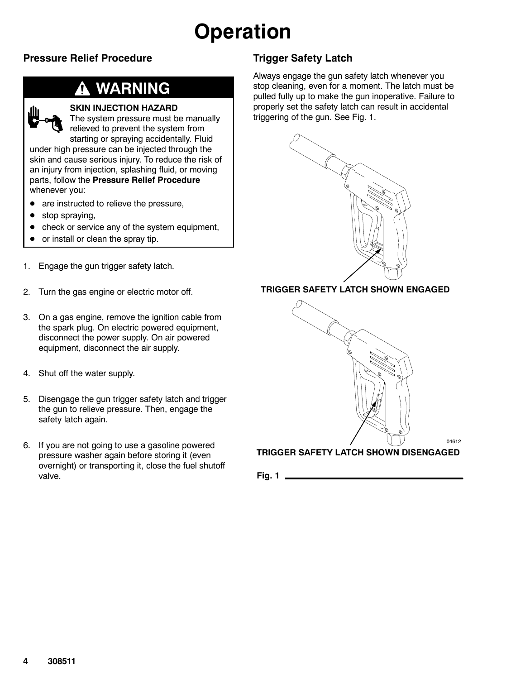# **Operation**

#### **Pressure Relief Procedure**

### **WARNING**



The system pressure must be manually relieved to prevent the system from starting or spraying accidentally. Fluid

under high pressure can be injected through the skin and cause serious injury. To reduce the risk of an injury from injection, splashing fluid, or moving parts, follow the **Pressure Relief Procedure** whenever you:

- are instructed to relieve the pressure,
- stop spraying,
- check or service any of the system equipment,
- or install or clean the spray tip.
- 1. Engage the gun trigger safety latch.
- 2. Turn the gas engine or electric motor off.
- 3. On a gas engine, remove the ignition cable from the spark plug. On electric powered equipment, disconnect the power supply. On air powered equipment, disconnect the air supply.
- 4. Shut off the water supply.
- 5. Disengage the gun trigger safety latch and trigger the gun to relieve pressure. Then, engage the safety latch again.
- 6. If you are not going to use a gasoline powered pressure washer again before storing it (even overnight) or transporting it, close the fuel shutoff valve.

#### **Trigger Safety Latch**

Always engage the gun safety latch whenever you stop cleaning, even for a moment. The latch must be pulled fully up to make the gun inoperative. Failure to properly set the safety latch can result in accidental triggering of the gun. See Fig. 1.



#### **TRIGGER SAFETY LATCH SHOWN ENGAGED**



**TRIGGER SAFETY LATCH SHOWN DISENGAGED**

**Fig. 1**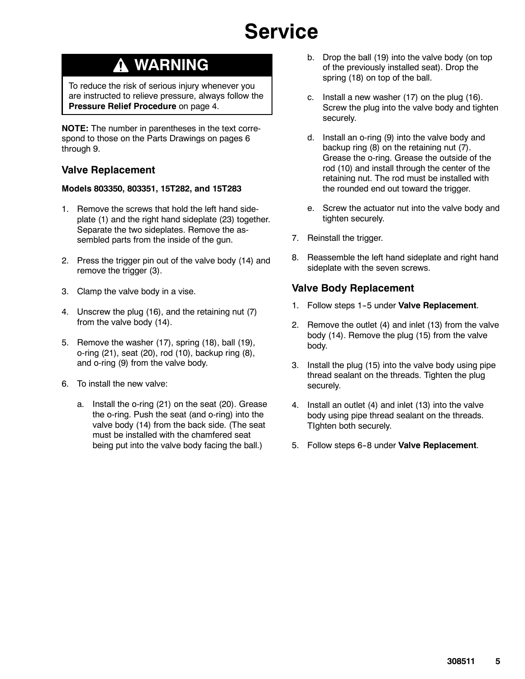# **Service**

### **WARNING**

To reduce the risk of serious injury whenever you are instructed to relieve pressure, always follow the **Pressure Relief Procedure** on page 4.

**NOTE:** The number in parentheses in the text correspond to those on the Parts Drawings on pages 6 through 9.

#### **Valve Replacement**

#### **Models 803350, 803351, 15T282, and 15T283**

- 1. Remove the screws that hold the left hand sideplate (1) and the right hand sideplate (23) together. Separate the two sideplates. Remove the assembled parts from the inside of the gun.
- 2. Press the trigger pin out of the valve body (14) and remove the trigger (3).
- 3. Clamp the valve body in a vise.
- 4. Unscrew the plug (16), and the retaining nut (7) from the valve body (14).
- 5. Remove the washer (17), spring (18), ball (19), o-ring (21), seat (20), rod (10), backup ring (8), and o-ring (9) from the valve body.
- 6. To install the new valve:
	- a. Install the o-ring (21) on the seat (20). Grease the o-ring. Push the seat (and o-ring) into the valve body (14) from the back side. (The seat must be installed with the chamfered seat being put into the valve body facing the ball.)
- b. Drop the ball (19) into the valve body (on top of the previously installed seat). Drop the spring (18) on top of the ball.
- c. Install a new washer (17) on the plug (16). Screw the plug into the valve body and tighten securely.
- d. Install an o-ring (9) into the valve body and backup ring (8) on the retaining nut (7). Grease the o-ring. Grease the outside of the rod (10) and install through the center of the retaining nut. The rod must be installed with the rounded end out toward the trigger.
- e. Screw the actuator nut into the valve body and tighten securely.
- 7. Reinstall the trigger.
- 8. Reassemble the left hand sideplate and right hand sideplate with the seven screws.

#### **Valve Body Replacement**

- 1. Follow steps 1-5 under Valve Replacement.
- 2. Remove the outlet (4) and inlet (13) from the valve body (14). Remove the plug (15) from the valve body.
- 3. Install the plug (15) into the valve body using pipe thread sealant on the threads. Tighten the plug securely.
- 4. Install an outlet (4) and inlet (13) into the valve body using pipe thread sealant on the threads. TIghten both securely.
- 5. Follow steps 6-8 under Valve Replacement.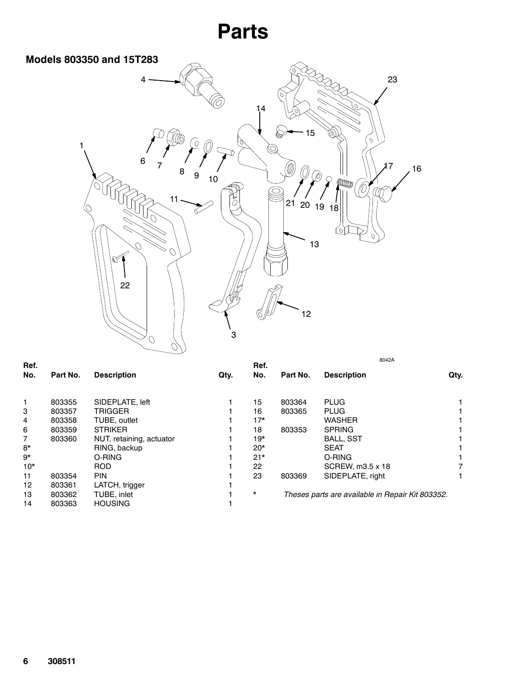

|          |                          |                 |          |            | 8042A              |                                                                 |
|----------|--------------------------|-----------------|----------|------------|--------------------|-----------------------------------------------------------------|
| Part No. | <b>Description</b>       | Qty.            | No.      | Part No.   | <b>Description</b> | Qty.                                                            |
|          |                          |                 |          |            |                    |                                                                 |
|          |                          |                 |          |            |                    |                                                                 |
| 803357   | <b>TRIGGER</b>           |                 | 16       | 803365     | PLUG               |                                                                 |
| 803358   | TUBE, outlet             |                 | $17*$    |            | <b>WASHER</b>      |                                                                 |
| 803359   | <b>STRIKER</b>           |                 | 18       | 803353     | <b>SPRING</b>      |                                                                 |
| 803360   | NUT, retaining, actuator |                 | $19*$    |            | <b>BALL, SST</b>   |                                                                 |
|          | RING, backup             |                 | $20*$    |            | <b>SEAT</b>        |                                                                 |
|          | O-RING                   |                 | $21*$    |            | O-RING             |                                                                 |
|          | <b>ROD</b>               |                 | 22       |            | SCREW, m3.5 x 18   |                                                                 |
| 803354   | <b>PIN</b>               |                 | 23       | 803369     | SIDEPLATE, right   |                                                                 |
| 803361   | LATCH, trigger           |                 |          |            |                    |                                                                 |
| 803362   | TUBE, inlet              |                 | $^\star$ |            |                    |                                                                 |
| 803363   | <b>HOUSING</b>           |                 |          |            |                    |                                                                 |
|          | 803355                   | SIDEPLATE, left |          | Ref.<br>15 | 803364             | <b>PLUG</b><br>Theses parts are available in Repair Kit 803352. |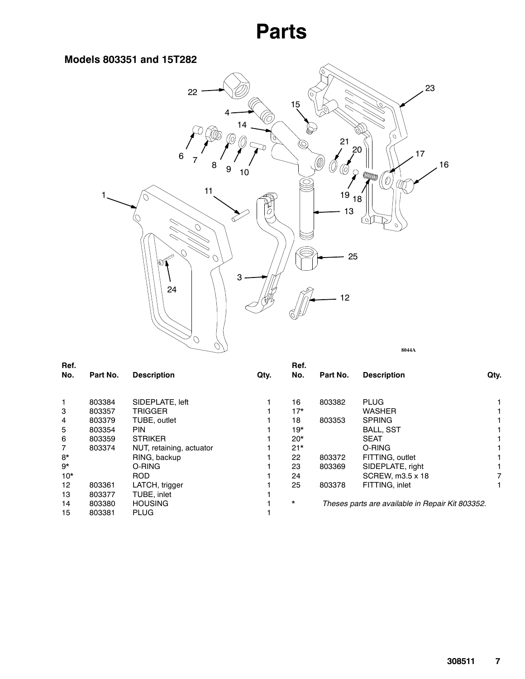#### **Models 803351 and 15T282**



| Ref.  |          |                          |      | Ref.     |          |                                                  |      |
|-------|----------|--------------------------|------|----------|----------|--------------------------------------------------|------|
| No.   | Part No. | <b>Description</b>       | Qty. | No.      | Part No. | <b>Description</b>                               | Qty. |
|       |          |                          |      |          |          |                                                  |      |
| 1     | 803384   | SIDEPLATE, left          |      | 16       | 803382   | <b>PLUG</b>                                      |      |
| 3     | 803357   | <b>TRIGGER</b>           |      | $17*$    |          | <b>WASHER</b>                                    |      |
| 4     | 803379   | TUBE, outlet             |      | 18       | 803353   | <b>SPRING</b>                                    |      |
| 5     | 803354   | PIN.                     |      | $19*$    |          | <b>BALL, SST</b>                                 |      |
| 6     | 803359   | <b>STRIKER</b>           |      | $20*$    |          | <b>SEAT</b>                                      |      |
| 7     | 803374   | NUT, retaining, actuator |      | $21*$    |          | O-RING                                           |      |
| $8*$  |          | RING, backup             |      | 22       | 803372   | FITTING, outlet                                  |      |
| 9*    |          | O-RING                   |      | 23       | 803369   | SIDEPLATE, right                                 |      |
| $10*$ |          | <b>ROD</b>               |      | 24       |          | SCREW, m3.5 x 18                                 |      |
| 12    | 803361   | LATCH, trigger           |      | 25       | 803378   | FITTING, inlet                                   |      |
| 13    | 803377   | TUBE, inlet              |      |          |          |                                                  |      |
| 14    | 803380   | <b>HOUSING</b>           |      | $^\star$ |          | Theses parts are available in Repair Kit 803352. |      |
| 15    | 803381   | <b>PLUG</b>              |      |          |          |                                                  |      |
|       |          |                          |      |          |          |                                                  |      |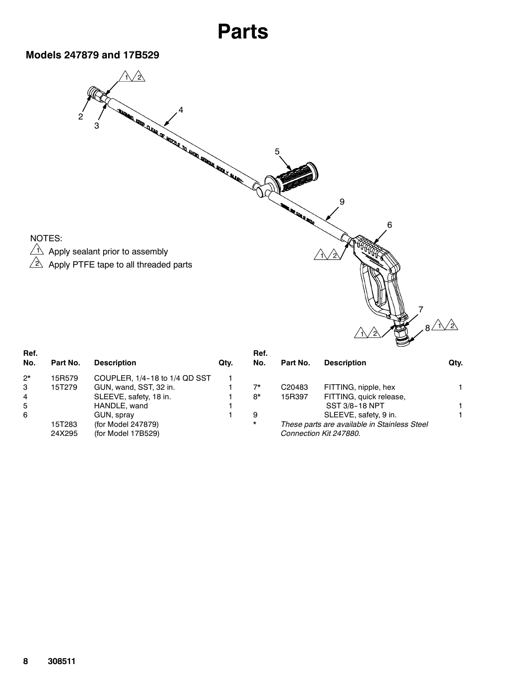#### **Models 247879 and 17B529**



| Ref.<br>No.    | Part No. | <b>Description</b>            | Qty. |
|----------------|----------|-------------------------------|------|
| $2*$           | 15R579   | COUPLER, 1/4-18 to 1/4 QD SST |      |
| 3              | 15T279   | GUN, wand, SST, 32 in.        |      |
| $\overline{4}$ |          | SLEEVE, safety, 18 in.        |      |
| 5              |          | HANDLE, wand                  |      |
| 6              |          | GUN, spray                    |      |
|                | 15T283   | (for Model 247879)            |      |
|                | 24X295   | (for Model 17B529)            |      |

| пс.<br>No.  | Part No.           | <b>Description</b>                                                     | Qtv. |
|-------------|--------------------|------------------------------------------------------------------------|------|
| $7^{\star}$ | C <sub>20483</sub> | FITTING, nipple, hex                                                   |      |
| $R^*$       | 15R397             | FITTING, quick release,                                                |      |
|             |                    | <b>SST 3/8-18 NPT</b>                                                  |      |
| 9           |                    | SLEEVE, safety, 9 in.                                                  |      |
| $\star$     |                    | These parts are available in Stainless Steel<br>Connection Kit 247880. |      |

2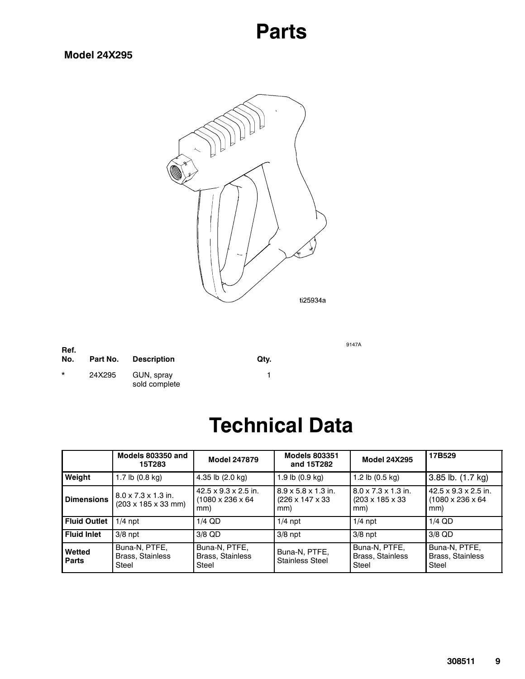#### **Model 24X295**



9147A

| Ref.<br>No. | Part No. | Description                 | Qty. |
|-------------|----------|-----------------------------|------|
| $\star$     | 24X295   | GUN, spray<br>sold complete |      |

### **Technical Data**

|                        | Models 803350 and<br>15T283                                                | <b>Model 247879</b>                                                      | <b>Models 803351</b><br>and 15T282                         | <b>Model 24X295</b>                                                    | 17B529                                                       |
|------------------------|----------------------------------------------------------------------------|--------------------------------------------------------------------------|------------------------------------------------------------|------------------------------------------------------------------------|--------------------------------------------------------------|
| Weight                 | 1.7 lb $(0.8 \text{ kg})$                                                  | 4.35 lb (2.0 kg)                                                         | 1.9 lb $(0.9 \text{ kg})$                                  | 1.2 lb $(0.5 \text{ kg})$                                              | 3.85 lb. (1.7 kg)                                            |
| <b>Dimensions</b>      | $8.0 \times 7.3 \times 1.3$ in.<br>$(203 \times 185 \times 33 \text{ mm})$ | $42.5 \times 9.3 \times 2.5$ in.<br>$(1080 \times 236 \times 64)$<br>mm) | $8.9 \times 5.8 \times 1.3$ in.<br>(226 x 147 x 33)<br>mm) | $8.0 \times 7.3 \times 1.3$ in.<br>$(203 \times 185 \times 33)$<br>mm) | 42.5 x 9.3 x 2.5 in.<br>$(1080 \times 236 \times 64)$<br>mm) |
| <b>Fluid Outlet</b>    | $1/4$ npt                                                                  | $1/4$ QD                                                                 | $1/4$ npt                                                  | $1/4$ npt                                                              | $1/4$ QD                                                     |
| <b>Fluid Inlet</b>     | $3/8$ npt                                                                  | 3/8 QD                                                                   | $3/8$ npt                                                  | $3/8$ npt                                                              | 3/8 QD                                                       |
| Wetted<br><b>Parts</b> | Buna-N, PTFE,<br><b>Brass, Stainless</b><br>Steel                          | Buna-N, PTFE,<br><b>Brass, Stainless</b><br>Steel                        | Buna-N, PTFE,<br><b>Stainless Steel</b>                    | Buna-N, PTFE,<br><b>Brass, Stainless</b><br>Steel                      | Buna-N, PTFE,<br><b>Brass, Stainless</b><br>Steel            |